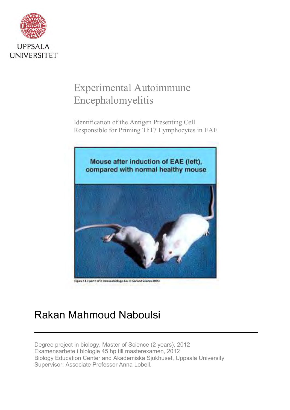

# <span id="page-0-0"></span>Experimental Autoimmune Encephalomyelitis

Identification of the Antigen Presenting Cell Responsible for Priming Th17 Lymphocytes in EAE



Figure 13-3 part 1 of 3 Immunobiology. Six, H Garland Science 2805)

# Rakan Mahmoud Naboulsi

Degree project in biology, Master of Science (2 years), 2012 Examensarbete i biologie 45 hp till masterexamen, 2012 Biology Education Center and Akademiska Sjukhuset, Uppsala University Supervisor: Associate Professor Anna Lobell.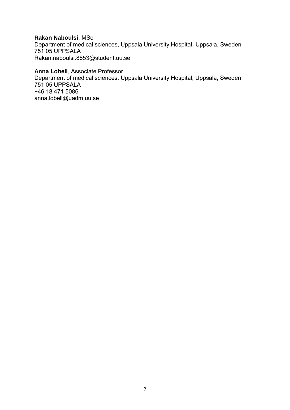#### **Rakan Naboulsi**, MSc

Department of medical sciences, Uppsala University Hospital, Uppsala, Sweden 751 05 UPPSALA [Rakan.naboulsi.8853@student.uu.se](mailto:Rakan.naboulsi.8853@student.uu.se)

## **Anna Lobell**, Associate Professor

Department of medical sciences, Uppsala University Hospital, Uppsala, Sweden 751 05 UPPSALA [+46 18 471 5086](tel:+46184715086) [anna.lobell@uadm.uu.se](mailto:anna.lobell@uadm.uu.se)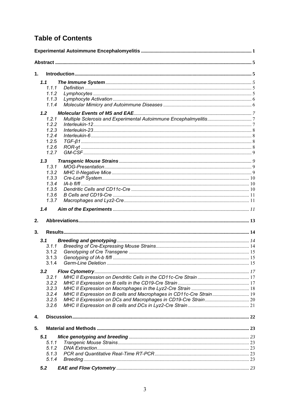## **Table of Contents**

| 1.             |                                                                     |  |
|----------------|---------------------------------------------------------------------|--|
| 1.1            |                                                                     |  |
| 1.1.1          |                                                                     |  |
| 1.1.2          |                                                                     |  |
| 1.1.3          |                                                                     |  |
| 1.1.4          |                                                                     |  |
|                |                                                                     |  |
| 1.2            |                                                                     |  |
| 1.2.1          |                                                                     |  |
| 1.2.2<br>1.2.3 |                                                                     |  |
| 1.2.4          |                                                                     |  |
| 1.2.5          |                                                                     |  |
| 1.2.6          |                                                                     |  |
| 1.2.7          |                                                                     |  |
|                |                                                                     |  |
| 1.3            |                                                                     |  |
| 1.3.1          |                                                                     |  |
| 1.3.2          |                                                                     |  |
| 1.3.3          |                                                                     |  |
| 1.3.4          |                                                                     |  |
| 1.3.5          |                                                                     |  |
| 1.3.6          |                                                                     |  |
| 1.3.7          |                                                                     |  |
| 1.4<br>2.      |                                                                     |  |
|                |                                                                     |  |
| 3.             |                                                                     |  |
| 3.1            |                                                                     |  |
| 3.1.1          |                                                                     |  |
| 3.1.2          |                                                                     |  |
| 3.1.3          |                                                                     |  |
| 3.1.4          |                                                                     |  |
| 3.2            |                                                                     |  |
| 3.2.1          |                                                                     |  |
| 3.2.2          |                                                                     |  |
| 3.2.3          |                                                                     |  |
| 3.2.4          | MHC II Expression on B cells and Macrophages in CD11c-Cre Strain 19 |  |
| 3.2.5          |                                                                     |  |
| 3.2.6          |                                                                     |  |
| 4.             |                                                                     |  |
| 5.             |                                                                     |  |
| 5.1            |                                                                     |  |
| 5.1.1          |                                                                     |  |
| 5.1.2          |                                                                     |  |
| 5.1.3          |                                                                     |  |
| 5.1.4          |                                                                     |  |
| 5.2            |                                                                     |  |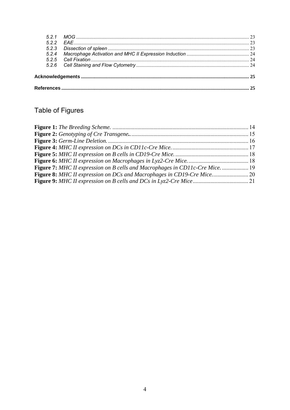| 522 |  |  |
|-----|--|--|
|     |  |  |
|     |  |  |
|     |  |  |
|     |  |  |
|     |  |  |
|     |  |  |

## Table of Figures

<span id="page-3-0"></span>

| Figure 7: MHC II expression on B cells and Macrophages in CD11c-Cre Mice.  19 |  |
|-------------------------------------------------------------------------------|--|
|                                                                               |  |
|                                                                               |  |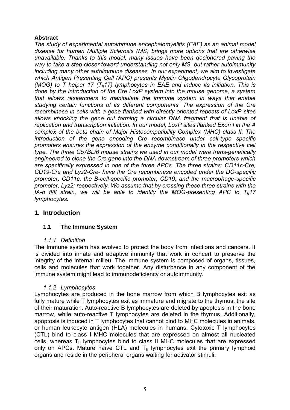## **Abstract**

*The study of experimental autoimmune encephalomyelitis (EAE) as an animal model disease for human Multiple Sclerosis (MS) brings more options that are otherwise unavailable. Thanks to this model, many issues have been deciphered paving the way to take a step closer toward understanding not only MS, but rather autoimmunity including many other autoimmune diseases. In our experiment, we aim to investigate which Antigen Presenting Cell (APC) presents Myelin Oligodendrocyte Glycoprotein (MOG) to T helper 17 (Th17) lymphocytes in EAE and induce its initiation. This is done by the introduction of the Cre LoxP system into the mouse genome, a system that allows researchers to manipulate the immune system in ways that enable studying certain functions of its different components. The expression of the Cre recombinase in cells with a gene flanked with directly oriented repeats of LoxP sites*  allows knocking the gene out forming a circular DNA fragment that is unable of *replication and transcription initiation. In our model, LoxP sites flanked Exon I in the A complex of the beta chain of Major Histocompatibility Complex (MHC) class II. The introduction of the gene encoding Cre recombinase under cell-type specific promoters ensures the expression of the enzyme conditionally in the respective cell type. The three C57BL/6 mouse strains we used in our model were trans-genetically engineered to clone the Cre gene into the DNA downstream of three promoters which are specifically expressed in one of the three APCs. The three strains: CD11c-Cre, CD19-Cre and Lyz2-Cre- have the Cre recombinase encoded under the DC-specific promoter, CD11c; the B-cell-specific promoter, CD19; and the macrophage-specific promoter, Lyz2; respectively. We assume that by crossing these three strains with the IA-b fl/fl strain, we will be able to identify the MOG-presenting APC to Th17 lymphocytes.* 

## <span id="page-4-0"></span>**1. Introduction**

## <span id="page-4-1"></span>**1.1 The Immune System**

## *1.1.1 Definition*

<span id="page-4-2"></span>The Immune system has evolved to protect the body from infections and cancers. It is divided into innate and adaptive immunity that work in concert to preserve the integrity of the internal milieu. The immune system is composed of organs, tissues, cells and molecules that work together. Any disturbance in any component of the immune system might lead to immunodeficiency or autoimmunity.

## *1.1.2 Lymphocytes*

<span id="page-4-3"></span>Lymphocytes are produced in the bone marrow from which B lymphocytes exit as fully mature while T lymphocytes exit as immature and migrate to the thymus, the site of their maturation. Auto-reactive B lymphocytes are deleted by apoptosis in the bone marrow, while auto-reactive T lymphocytes are deleted in the thymus. Additionally, apoptosis is induced in T lymphocytes that cannot bind to MHC molecules in animals, or human leukocyte antigen (HLA) molecules in humans. Cytotoxic T lymphocytes (CTL) bind to class I MHC molecules that are expressed on almost all nucleated cells, whereas  $T_h$  lymphocytes bind to class II MHC molecules that are expressed only on APCs. Mature naïve CTL and  $T<sub>h</sub>$  lymphocytes exit the primary lymphoid organs and reside in the peripheral organs waiting for activator stimuli.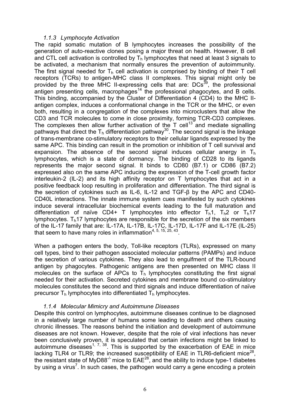#### *1.1.3 Lymphocyte Activation*

<span id="page-5-0"></span>The rapid somatic mutation of B lymphocytes increases the possibility of the generation of auto-reactive clones posing a major threat on health. However, B cell and CTL cell activation is controlled by  $T<sub>h</sub>$  lymphocytes that need at least 3 signals to be activated, a mechanism that normally ensures the prevention of autoimmunity. The first signal needed for  $T_h$  cell activation is comprised by binding of their T cell receptors (TCRs) to antigen-MHC class II complexes. This signal might only be provided by the three MHC II-expressing cells that are: DCs<sup>[39](#page-28-0)</sup>, the professional antigen presenting cells, macrophages<sup>[14](#page-26-0)</sup> the professional phagocytes, and B cells. This binding, accompanied by the Cluster of Differentiation 4 (CD4) to the MHC IIantigen complex, induces a conformational change in the TCR or the MHC, or even both, resulting in a congregation of the complexes into microclusters that allow the CD3 and TCR molecules to come in close proximity, forming TCR-CD3 complexes. The complexes then allow further activation of the T cell<sup>[13](#page-26-1)</sup> and mediate signalling pathways that direct the T<sub>h</sub> differentiation pathway<sup>[30](#page-27-0)</sup>. The second signal is the linkage of trans-membrane co-stimulatory receptors to their cellular ligands expressed by the same APC. This binding can result in the promotion or inhibition of T cell survival and expansion. The absence of the second signal induces cellular anergy in  $T<sub>h</sub>$ lymphocytes, which is a state of dormancy. The binding of CD28 to its ligands represents the major second signal. It binds to CD80 (B7.1) or CD86 (B7.2) expressed also on the same APC inducing the expression of the T-cell growth factor interleukin-2 (IL-2) and its high affinity receptor on T lymphocytes that act in a positive feedback loop resulting in proliferation and differentiation. The third signal is the secretion of cytokines such as IL-6, IL-12 and TGF-β by the APC and CD40- CD40L interactions. The innate immune system cues manifested by such cytokines induce several intracellular biochemical events leading to the full maturation and differentiation of naïve CD4+ T lymphocytes into effector  $T_h$ 1,  $T_h$ 2 or  $T_h$ 17 lymphocytes.  $T<sub>h</sub>17$  lymphocytes are responsible for the secretion of the six members of the IL-17 family that are: IL-17A, IL-17B, IL-17C, IL-17D, IL-17F and IL-17E (IL-25) that seem to have many roles in inflammation<sup>[4,](#page-25-0) [5,](#page-25-1) [15,](#page-26-2) [25,](#page-26-3) [43](#page-29-0)</sup>.

When a pathogen enters the body, Toll-like receptors (TLRs), expressed on many cell types, bind to their pathogen associated molecular patterns (PAMPs) and induce the secretion of various cytokines. They also lead to engulfment of the TLR-bound antigen by phagocytes. Pathogenic antigens are then presented on MHC class II molecules on the surface of APCs to  $T<sub>h</sub>$  lymphocytes constituting the first signal needed for their activation. Secreted cytokines and membrane bound co-stimulatory molecules constitutes the second and third signals and induce differentiation of naïve precursor  $T<sub>h</sub>$  lymphocytes into differentiated  $T<sub>h</sub>$  lymphocytes.

## *1.1.4 Molecular Mimicry and Autoimmune Diseases*

<span id="page-5-1"></span>Despite this control on lymphocytes, autoimmune diseases continue to be diagnosed in a relatively large number of humans some leading to death and others causing chronic illnesses. The reasons behind the initiation and development of autoimmune diseases are not known. However, despite that the role of viral infections has never been conclusively proven, it is speculated that certain infections might be linked to autoimmune diseases<sup>[1,](#page-25-2) [7,](#page-25-3) [38](#page-28-1)</sup>. This is supported by the exacerbation of EAE in mice lacking TLR4 or TLR9; the increased susceptibility of EAE in TLR6-deficient mice<sup>[28](#page-27-1)</sup>, the resistant state of MyD88<sup>-/-</sup> mice to  $EAE^{28}$  $EAE^{28}$  $EAE^{28}$ , and the ability to induce type-1 diabetes by using a virus<sup>[7](#page-25-3)</sup>. In such cases, the pathogen would carry a gene encoding a protein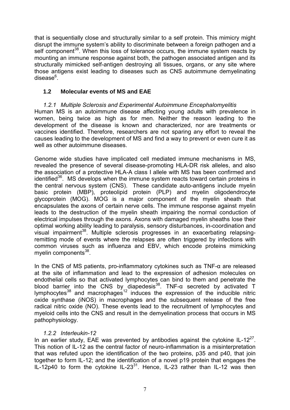that is sequentially close and structurally similar to a self protein. This mimicry might disrupt the immune system's ability to discriminate between a foreign pathogen and a self component<sup>[38](#page-28-1)</sup>. When this loss of tolerance occurs, the immune system reacts by mounting an immune response against both, the pathogen associated antigen and its structurally mimicked self-antigen destroying all tissues, organs, or any site where those antigens exist leading to diseases such as CNS autoimmune demyelinating disease<sup>[6](#page-25-4)</sup>.

## <span id="page-6-0"></span>**1.2 Molecular events of MS and EAE**

<span id="page-6-1"></span>*1.2.1 Multiple Sclerosis and Experimental Autoimmune Encephalomyelitis*  Human MS is an autoimmune disease affecting young adults with prevalence in women, being twice as high as for men. Neither the reason leading to the development of the disease is known and characterized, nor are treatments or vaccines identified. Therefore, researchers are not sparing any effort to reveal the causes leading to the development of MS and find a way to prevent or even cure it as well as other autoimmune diseases.

Genome wide studies have implicated cell mediated immune mechanisms in MS, revealed the presence of several disease-promoting HLA-DR risk alleles, and also the association of a protective HLA-A class I allele with MS has been confirmed and identified<sup>[36](#page-27-2)</sup>. MS develops when the immune system reacts toward certain proteins in the central nervous system (CNS). These candidate auto-antigens include myelin basic protein (MBP), proteolipid protein (PLP) and myelin oligodendrocyte glycoprotein (MOG). MOG is a major component of the myelin sheath that encapsulates the axons of certain nerve cells. The immune response against myelin leads to the destruction of the myelin sheath impairing the normal conduction of electrical impulses through the axons. Axons with damaged myelin sheaths lose their optimal working ability leading to paralysis, sensory disturbances, in-coordination and visual impairment<sup>[38](#page-28-1)</sup>. Multiple sclerosis progresses in an exacerbating relapsingremitting mode of events where the relapses are often triggered by infections with common viruses such as influenza and EBV, which encode proteins mimicking myelin components<sup>[38](#page-28-1)</sup>.

In the CNS of MS patients, pro-inflammatory cytokines such as TNF-α are released at the site of inflammation and lead to the expression of adhesion molecules on endothelial cells so that activated lymphocytes can bind to them and penetrate the blood barrier into the CNS by diapedesis<sup>[38](#page-28-1)</sup>. TNF- $\alpha$  secreted by activated T lymphocytes<sup>[38](#page-28-1)</sup> and macrophages<sup>[12](#page-25-5)</sup> induces the expression of the inducible nitric oxide synthase (iNOS) in macrophages and the subsequent release of the free radical nitric oxide (NO). These events lead to the recruitment of lymphocytes and myeloid cells into the CNS and result in the demyelination process that occurs in MS pathophysiology.

## *1.2.2 Interleukin-12*

<span id="page-6-2"></span>In an earlier study, EAE was prevented by antibodies against the cytokine IL-12<sup>[27](#page-27-3)</sup>. This notion of IL-12 as the central factor of neuro-inflammation is a misinterpretation that was refuted upon the identification of the two proteins, p35 and p40, that join together to form IL-12; and the identification of a novel p19 protein that engages the IL-12p40 to form the cytokine IL-23 $^{31}$  $^{31}$  $^{31}$ . Hence, IL-23 rather than IL-12 was then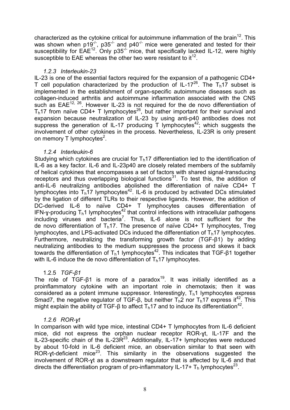characterized as the cytokine critical for autoimmune inflammation of the brain<sup>[12](#page-25-5)</sup>. This was shown when p19<sup>-/-</sup>, p35<sup>-/-</sup> and p40<sup>-/-</sup> mice were generated and tested for their susceptibility for  $EAE^{12}$  $EAE^{12}$  $EAE^{12}$ . Only p35<sup>-/-</sup> mice, that specifically lacked IL-12, were highly susceptible to EAE whereas the other two were resistant to it<sup>[12](#page-25-5)</sup>.

## *1.2.3 Interleukin-23*

<span id="page-7-0"></span>IL-23 is one of the essential factors required for the expansion of a pathogenic CD4+ T cell population characterized by the production of IL-17<sup>[26](#page-26-4)</sup>. The T<sub>h</sub>17 subset is implemented in the establishment of organ-specific autoimmune diseases such as collagen-induced arthritis and autoimmune inflammation associated with the CNS such as EAE<sup>[12,](#page-25-5) [26](#page-26-4)</sup>. However IL-23 is not required for the de novo differentiation of  $T<sub>h</sub>17$  from naïve CD4+ T lymphocytes<sup>[26](#page-26-4)</sup>, but rather important for their survival and expansion because neutralization of IL-23 by using anti-p40 antibodies does not suppress the generation of IL-17 producing T lymphocytes<sup>[42](#page-29-1)</sup>; which suggests the involvement of other cytokines in the process. Nevertheless, IL-23R is only present on memory T lymphocytes<sup>[2](#page-25-6)</sup>.

## *1.2.4 Interleukin-6*

<span id="page-7-1"></span>Studying which cytokines are crucial for  $T<sub>h</sub>17$  differentiation led to the identification of IL-6 as a key factor. IL-6 and IL-23p40 are closely related members of the subfamily of helical cytokines that encompasses a set of factors with shared signal-transducing receptors and thus overlapping biological functions<sup>[31](#page-27-4)</sup>. To test this, the addition of anti-IL-6 neutralizing antibodies abolished the differentiation of naïve CD4+ T lymphocytes into  $T_h$ 17 lymphocytes<sup>[42](#page-29-1)</sup>. IL-6 is produced by activated DCs stimulated by the ligation of different TLRs to their respective ligands. However, the addition of DC-derived IL-6 to naïve CD4+ T lymphocytes causes differentiation of IFN-y-producing T<sub>h</sub>1 lymphocytes<sup>[42](#page-29-1)</sup> that control infections with intracellular pathogens including viruses and bacteria<sup>[7](#page-25-3)</sup>. Thus, IL-6 alone is not sufficient for the de novo differentiation of  $T_h$ 17. The presence of naïve CD4+ T lymphocytes, Treg lymphocytes, and LPS-activated DCs induced the differentiation of  $T<sub>h</sub>17$  lymphocytes. Furthermore, neutralizing the transforming growth factor (TGF-β1) by adding neutralizing antibodies to the medium suppresses the process and skews it back towards the differentiation of T<sub>h</sub>1 lymphocytes<sup>[42](#page-29-1)</sup>. This indicates that TGF-β1 together with IL-6 induce the de novo differentiation of  $T<sub>h</sub>17$  lymphocytes.

## 1.2.5 *TGF-β1*

<span id="page-7-2"></span>The role of TGF- $\beta$ 1 is more of a paradox<sup>[19](#page-26-5)</sup>. It was initially identified as a proinflammatory cytokine with an important role in chemotaxis; then it was considered as a potent immune suppressor. Interestingly,  $T_h$ 1 lymphocytes express Smad7, the negative regulator of TGF- $\beta$ , but neither T<sub>h</sub>2 nor T<sub>h</sub>17 express it<sup>[42](#page-29-1)</sup>. This might explain the ability of TGF-β to affect  $T_h$ 17 and to induce its differentiation<sup>[42](#page-29-1)</sup>.

## *1.2.6 ROR-ɣt*

<span id="page-7-3"></span>In comparison with wild type mice, intestinal CD4+ T lymphocytes from IL-6 deficient mice, did not express the orphan nuclear receptor ROR-ɣt, IL-17F and the IL-[23](#page-26-6)-specific chain of the IL-23 $R^{23}$ . Additionally, IL-17+ lymphocytes were reduced by about 10-fold in IL-6 deficient mice, an observation similar to that seen with ROR-yt-deficient mice<sup>[23](#page-26-6)</sup>. This similarity in the observations suggested the involvement of ROR-ɣt as a downstream regulator that is affected by IL-6 and that directs the differentiation program of pro-inflammatory IL-17+  $T_h$  lymphocytes<sup>[23](#page-26-6)</sup>.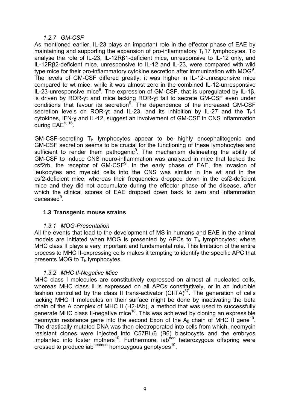## *1.2.7 GM-CSF*

<span id="page-8-0"></span>As mentioned earlier, IL-23 plays an important role in the effector phase of EAE by maintaining and supporting the expansion of pro-inflammatory  $T<sub>h</sub>17$  lymphocytes. To analyse the role of IL-23, IL-12Rβ1-deficient mice, unresponsive to IL-12 only, and IL-12Rβ2-deficient mice, unresponsive to IL-12 and IL-23, were compared with wild type mice for their pro-inflammatory cytokine secretion after immunization with MOG<sup>[9](#page-25-7)</sup>. The levels of GM-CSF differed greatly; it was higher in IL-12-unresponsive mice compared to wt mice, while it was almost zero in the combined IL-12-unresponsive IL-23-unresponsive mice<sup>[9](#page-25-7)</sup>. The expression of GM-CSF, that is upregulated by IL-1β, is driven by ROR-ɣt and mice lacking ROR-ɣt fail to secrete GM-CSF even under conditions that favour its secretion<sup>[9](#page-25-7)</sup>. The dependence of the increased GM-CSF secretion levels on ROR-yt and IL-23, and its inhibition by IL-27 and the  $T_h$ 1 cytokines, IFN-ɣ and IL-12, suggest an involvement of GM-CSF in CNS inflammation during EAE<sup>[9,](#page-25-7) [16](#page-26-7)</sup>.

GM-CSF-secreting  $T_h$  lymphocytes appear to be highly encephalitogenic and GM-CSF secretion seems to be crucial for the functioning of these lymphocytes and sufficient to render them pathogenic $9$ . The mechanism delineating the ability of GM-CSF to induce CNS neuro-inflammation was analyzed in mice that lacked the csf2rb, the receptor of GM-CSF<sup>[9](#page-25-7)</sup>. In the early phase of EAE, the invasion of leukocytes and myeloid cells into the CNS was similar in the wt and in the csf2-deficient mice; whereas their frequencies dropped down in the csf2-deficient mice and they did not accumulate during the effector phase of the disease, after which the clinical scores of EAE dropped down back to zero and inflammation deceased<sup>[9](#page-25-7)</sup>.

## <span id="page-8-1"></span>**1.3 Transgenic mouse strains**

## *1.3.1 MOG-Presentation*

<span id="page-8-2"></span>All the events that lead to the development of MS in humans and EAE in the animal models are initiated when MOG is presented by APCs to  $T<sub>h</sub>$  lymphocytes; where MHC class II plays a very important and fundamental role. This limitation of the entire process to MHC II-expressing cells makes it tempting to identify the specific APC that presents MOG to  $T<sub>h</sub>$  lymphocytes.

## *1.3.2 MHC II-Negative Mice*

<span id="page-8-3"></span>MHC class I molecules are constitutively expressed on almost all nucleated cells, whereas MHC class II is expressed on all APCs constitutively, or in an inducible fashion controlled by the class II trans-activator  $\text{(CITA)}^{37}$  $\text{(CITA)}^{37}$  $\text{(CITA)}^{37}$ . The generation of cells lacking MHC II molecules on their surface might be done by inactivating the beta chain of the A complex of MHC II (H2-IAb), a method that was used to successfully generate MHC class II-negative mice<sup>[10](#page-25-8)</sup>. This was achieved by cloning an expressible neomycin resistance gene into the second Exon of the A<sub>β</sub> chain of MHC II gene<sup>[10](#page-25-8)</sup>. The drastically mutated DNA was then electroporated into cells from which, neomycin resistant clones were injected into C57BL/6 (B6) blastocysts and the embryos implanted into foster mothers<sup>[10](#page-25-8)</sup>. Furthermore, iab<sup>neo</sup> heterozygous offspring were crossed to produce iab<sup>neo/neo</sup> homozygous genotypes<sup>[10](#page-25-8)</sup>.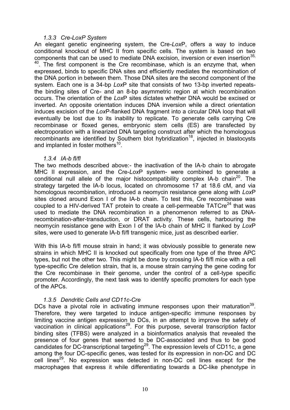#### *1.3.3 Cre-LoxP System*

<span id="page-9-0"></span>An elegant genetic engineering system, the Cre-*Lox*P, offers a way to induce conditional knockout of MHC II from specific cells. The system is based on two components that can be used to mediate DNA excision, inversion or even insertion<sup>35,</sup>  $40$ . The first component is the Cre recombinase, which is an enzyme that, when expressed, binds to specific DNA sites and efficiently mediates the recombination of the DNA portion in between them. Those DNA sites are the second component of the system. Each one is a 34-bp *Lox*P site that consists of two 13-bp inverted repeatsthe binding sites of Cre- and an 8-bp asymmetric region at which recombination occurs. The orientation of the *Lox*P sites dictates whether DNA would be excised or inverted. An opposite orientation induces DNA inversion while a direct orientation induces excision of the *Lox*P-flanked DNA fragment into a circular DNA loop that will eventually be lost due to its inability to replicate. To generate cells carrying Cre recombinase or floxed genes, embryonic stem cells (ES) are transfected by electroporation with a linearized DNA targeting construct after which the homologous recombinants are identified by Southern blot hybridization<sup>[18](#page-26-8)</sup>, injected in blastocysts and implanted in foster mothers<sup>[10](#page-25-8)</sup>.

#### *1.3.4 IA-b fl/fl*

<span id="page-9-1"></span>The two methods described above:- the inactivation of the IA-b chain to abrogate MHC II expression, and the Cre-*Lox*P system- were combined to generate a conditional null allele of the major histocompatibility complex IA-b chain<sup>[20](#page-26-9)</sup>. The strategy targeted the IA-b locus, located on chromosome 17 at 18.6 cM, and via homologous recombination, introduced a neomycin resistance gene along with *Lox*P sites cloned around Exon I of the IA-b chain. To test this, Cre recombinase was coupled to a HIV-derived TAT protein to create a cell-permeable TATCre<sup>[24](#page-26-10)</sup> that was used to mediate the DNA recombination in a phenomenon referred to as DNArecombination-after-transduction, or DRAT activity. These cells, harbouring the neomycin resistance gene with Exon I of the IA-b chain of MHC II flanked by *Lox*P sites, were used to generate IA-b fl/fl transgenic mice, just as described earlier.

With this IA-b fl/fl mouse strain in hand; it was obviously possible to generate new strains in which MHC II is knocked out specifically from one type of the three APC types, but not the other two. This might be done by crossing IA-b fl/fl mice with a cell type-specific Cre deletion strain, that is, a mouse strain carrying the gene coding for the Cre recombinase in their genome, under the control of a cell-type specific promoter. Accordingly, the next task was to identify specific promoters for each type of the APCs.

## *1.3.5 Dendritic Cells and CD11c-Cre*

<span id="page-9-2"></span>DCs have a pivotal role in activating immune responses upon their maturation<sup>[39](#page-28-0)</sup>. Therefore, they were targeted to induce antigen-specific immune responses by limiting vaccine antigen expression to DCs, in an attempt to improve the safety of vaccination in clinical applications<sup>[29](#page-27-6)</sup>. For this purpose, several transcription factor binding sites (TFBS) were analyzed in a bioinformatics analysis that revealed the presence of four genes that seemed to be DC-associated and thus to be good candidates for DC-transcriptional targeting<sup>[29](#page-27-6)</sup>. The expression levels of CD11c, a gene among the four DC-specific genes, was tested for its expression in non-DC and DC cell lines<sup>[29](#page-27-6)</sup>. No expression was detected in non-DC cell lines except for the macrophages that express it while differentiating towards a DC-like phenotype in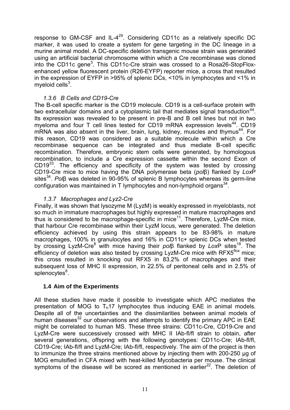response to GM-CSF and IL-4<sup>[29](#page-27-6)</sup>. Considering CD11c as a relatively specific DC marker, it was used to create a system for gene targeting in the DC lineage in a murine animal model. A DC-specific deletion transgenic mouse strain was generated using an artificial bacterial chromosome within which a Cre recombinase was cloned into the CD11c gene<sup>[3](#page-25-9)</sup>. This CD11c-Cre strain was crossed to a Rosa26-StopFloxenhanced yellow fluorescent protein (R26-EYFP) reporter mice, a cross that resulted in the expression of EYFP in >95% of splenic DCs, <10% in lymphocytes and <1% in myeloid cells $^3$  $^3$ .

## *1.3.6 B Cells and CD19-Cre*

<span id="page-10-0"></span>The B-cell specific marker is the CD19 molecule. CD19 is a cell-surface protein with two extracellular domains and a cytoplasmic tail that mediates signal transduction $44$ . Its expression was revealed to be present in pre-B and B cell lines but not in two myeloma and four T cell lines tested for CD19 mRNA expression levels<sup>[44](#page-29-2)</sup>. CD19 mRNA was also absent in the liver, brain, lung, kidney, muscles and thymus<sup>[44](#page-29-2)</sup>. For this reason, CD19 was considered as a suitable molecule within which a Cre recombinase sequence can be integrated and thus mediate B-cell specific recombination. Therefore, embryonic stem cells were generated, by homologous recombination, to include a Cre expression cassette within the second Exon of CD19<sup>[33](#page-27-7)</sup>. The efficiency and specificity of the system was tested by crossing CD19-Cre mice to mice having the DNA polymerase beta (*pol*β) flanked by *Lox*P sites<sup>[34](#page-27-8)</sup>. Polβ was deleted in 90-95% of splenic B lymphocytes whereas its germ-line configuration was maintained in T lymphocytes and non-lymphoid organs $^{34}$  $^{34}$  $^{34}$ .

## *1.3.7 Macrophages and Lyz2-Cre*

<span id="page-10-1"></span>Finally, it was shown that lysozyme M (LyzM) is weakly expressed in myeloblasts, not so much in immature macrophages but highly expressed in mature macrophages and thus is considered to be macrophage-specific in mice<sup>[11](#page-25-10)</sup>. Therefore, LyzM-Cre mice, that harbour Cre recombinase within their LyzM locus, were generated. The deletion efficiency achieved by using this strain appears to be 83-98% in mature macrophages, 100% in granulocytes and 16% in CD11c+ splenic DCs when tested by crossing LyzM-Cre<sup>[8](#page-25-11)</sup> with mice having their *pol*β flanked by LoxP sites<sup>[18](#page-26-8)</sup>. The efficiency of deletion was also tested by crossing LyzM-Cre mice with  $RFX5^{10x}$  mice; this cross resulted in knocking out RFX5 in 83.2% of macrophages and their subsequent loss of MHC II expression, in 22.5% of peritoneal cells and in 2.5% of splenocytes<sup>[8](#page-25-11)</sup>.

## <span id="page-10-2"></span>**1.4 Aim of the Experiments**

All these studies have made it possible to investigate which APC mediates the presentation of MOG to  $T<sub>b</sub>17$  lymphocytes thus inducing EAE in animal models. Despite all of the uncertainties and the dissimilarities between animal models of human diseases $32$  our observations and attempts to identify the primary APC in EAE might be correlated to human MS. These three strains: CD11c-Cre, CD19-Cre and LyzM-Cre were successively crossed with MHC II IAb-fl/fl strain to obtain, after several generations, offspring with the following genotypes: CD11c-Cre; IAb-fl/fl, CD19-Cre; IAb-fl/fl and LyzM-Cre; IAb-fl/fl, respectively. The aim of the project is then to immunize the three strains mentioned above by injecting them with 200-250 µg of MOG emulsified in CFA mixed with heat-killed Mycobacteria per mouse. The clinical symptoms of the disease will be scored as mentioned in earlier<sup>[22](#page-26-11)</sup>. The deletion of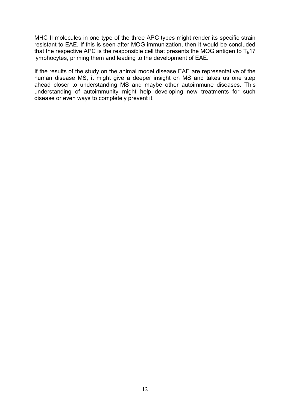MHC II molecules in one type of the three APC types might render its specific strain resistant to EAE. If this is seen after MOG immunization, then it would be concluded that the respective APC is the responsible cell that presents the MOG antigen to  $T_h$ 17 lymphocytes, priming them and leading to the development of EAE.

If the results of the study on the animal model disease EAE are representative of the human disease MS, it might give a deeper insight on MS and takes us one step ahead closer to understanding MS and maybe other autoimmune diseases. This understanding of autoimmunity might help developing new treatments for such disease or even ways to completely prevent it.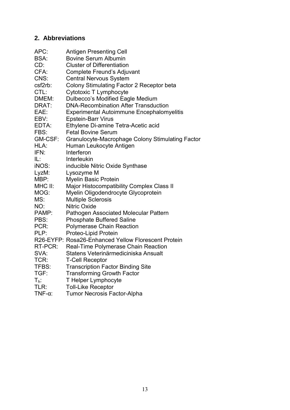## <span id="page-12-0"></span>**2. Abbreviations**

| APC:           | <b>Antigen Presenting Cell</b>                      |
|----------------|-----------------------------------------------------|
| <b>BSA:</b>    | <b>Bovine Serum Albumin</b>                         |
| CD:            | <b>Cluster of Differentiation</b>                   |
| CFA:           | Complete Freund's Adjuvant                          |
| CNS:           | <b>Central Nervous System</b>                       |
| csf2rb:        | Colony Stimulating Factor 2 Receptor beta           |
| CTL:           | Cytotoxic T Lymphocyte                              |
| DMEM:          | Dulbecco's Modified Eagle Medium                    |
| DRAT:          | <b>DNA-Recombination After Transduction</b>         |
| EAE:           | <b>Experimental Autoimmune Encephalomyelitis</b>    |
| EBV:           | <b>Epstein-Barr Virus</b>                           |
| EDTA:          | Ethylene Di-amine Tetra-Acetic acid                 |
| FBS:           | <b>Fetal Bovine Serum</b>                           |
| GM-CSF:        | Granulocyte-Macrophage Colony Stimulating Factor    |
| HLA:           | Human Leukocyte Antigen                             |
| IFN:           | Interferon                                          |
| IL:            | Interleukin                                         |
| <b>iNOS:</b>   | inducible Nitric Oxide Synthase                     |
| LyzM:          | Lysozyme M                                          |
| MBP:           | Myelin Basic Protein                                |
| MHC II:        | <b>Major Histocompatibility Complex Class II</b>    |
| MOG:           | Myelin Oligodendrocyte Glycoprotein                 |
| MS:            | <b>Multiple Sclerosis</b>                           |
| NO:            | <b>Nitric Oxide</b>                                 |
| PAMP:          | Pathogen Associated Molecular Pattern               |
| PBS:           | <b>Phosphate Buffered Saline</b>                    |
| PCR:           | <b>Polymerase Chain Reaction</b>                    |
| PLP:           | Proteo-Lipid Protein                                |
|                | R26-EYFP: Rosa26-Enhanced Yellow Florescent Protein |
| RT-PCR:        | Real-Time Polymerase Chain Reaction                 |
| SVA:           | Statens Veterinärmediciniska Ansualt                |
| TCR:           | <b>T-Cell Receptor</b>                              |
| TFBS:          | <b>Transcription Factor Binding Site</b>            |
| TGF:           | <b>Transforming Growth Factor</b>                   |
| $T_h$ :        | T Helper Lymphocyte                                 |
| TLR:           | <b>Toll-Like Receptor</b>                           |
| $TNF-\alpha$ : | <b>Tumor Necrosis Factor-Alpha</b>                  |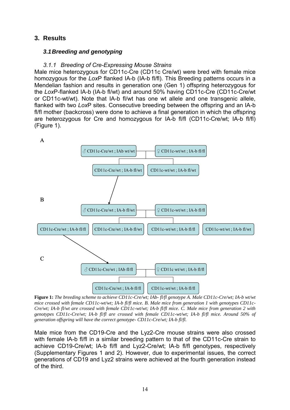## <span id="page-13-0"></span>**3. Results**

## <span id="page-13-1"></span>*3.1 Breeding and genotyping*

## *3.1.1 Breeding of Cre-Expressing Mouse Strains*

<span id="page-13-2"></span>Male mice heterozygous for CD11c-Cre (CD11c Cre/wt) were bred with female mice homozygous for the *Lox*P flanked IA-b (IA-b fl/fl). This Breeding patterns occurs in a Mendelian fashion and results in generation one (Gen 1) offspring heterozygous for the *Lox*P-flanked IA-b (IA-b fl/wt) and around 50% having CD11c-Cre (CD11c-Cre/wt or CD11c-wt/wt). Note that IA-b fl/wt has one wt allele and one transgenic allele, flanked with two *Lox*P sites. Consecutive breeding between the offspring and an IA-b fl/fl mother (backcross) were done to achieve a final generation in which the offspring are heterozygous for Cre and homozygous for IA-b fl/fl (CD11c-Cre/wt; IA-b fl/fl) (Figure 1).



<span id="page-13-3"></span>**Figure 1:** *The breeding scheme to achieve CD11c-Cre/wt; IAb- fl/fl genotype A. Male CD11c-Cre/wt; IA-b wt/wt mice crossed with female CD11c-wt/wt; IA-b fl/fl mice. B. Male mice from generation 1 with genotypes CD11c-Cre/wt; IA-b fl/wt are crossed with female CD11c-wt/wt; IA-b fl/fl mice. C. Male mice from generation 2 with genotypes CD11c-Cre/wt; IA-b fl/fl are crossed with female CD11c-wt/wt; IA-b fl/fl mice. Around 50% of generation offspring will have the correct genotype- CD11c-Cre/wt; IA-b fl/fl.* 

Male mice from the CD19-Cre and the Lyz2-Cre mouse strains were also crossed with female IA-b fl/fl in a similar breeding pattern to that of the CD11c-Cre strain to achieve CD19-Cre/wt; IA-b fl/fl and Lyz2-Cre/wt; IA-b fl/fl genotypes, respectively (Supplementary Figures 1 and 2). However, due to experimental issues, the correct generations of CD19 and Lyz2 strains were achieved at the fourth generation instead of the third.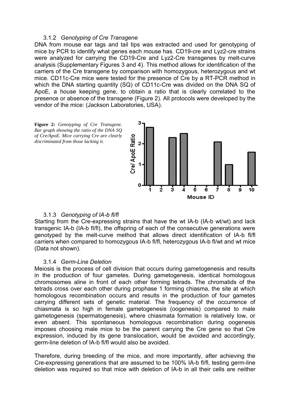#### 3.1.2 *Genotyping of Cre Transgene*

<span id="page-14-0"></span>DNA from mouse ear tags and tail tips was extracted and used for genotyping of mice by PCR to identify what genes each mouse has. CD19-cre and Lyz2-cre strains were analyzed for carrying the CD19-Cre and Lyz2-Cre transgenes by melt-curve analysis (Supplementary Figures 3 and 4). This method allows for identification of the carriers of the Cre transgene by comparison with homozygous, heterozygous and wt mice. CD11c-Cre mice were tested for the presence of Cre by a RT-PCR method in which the DNA starting quantity (SQ) of CD11c-Cre was divided on the DNA SQ of ApoE, a house keeping gene, to obtain a ratio that is clearly correlated to the presence or absence of the transgene (Figure 2). All protocols were developed by the vendor of the mice: (Jackson Laboratories, USA).

<span id="page-14-3"></span>

## 3.1.3 *Genotyping of IA-b fl/fl*

<span id="page-14-1"></span>Starting from the Cre-expressing strains that have the wt IA-b (IA-b wt/wt) and lack transgenic IA-b (IA-b fl/fl), the offspring of each of the consecutive generations were genotyped by the melt-curve method that allows direct identification of IA-b fl/fl carriers when compared to homozygous IA-b fl/fl, heterozygous IA-b fl/wt and wt mice (Data not shown).

#### 3.1.4 *Germ-Line Deletion*

<span id="page-14-2"></span>Meiosis is the process of cell division that occurs during gametogenesis and results in the production of four gametes. During gametogenesis, identical homologous chromosomes aline in front of each other forming tetrads. The chromatids of the tetrads cross over each other during prophase 1 forming chiasma, the site at which homologous recombination occurs and results in the production of four gametes carrying different sets of genetic material. The frequency of the occurrence of chiasmata is so high in female gametogenesis (oogenesis) compared to male gametogenesis (spermatogenesis), where chiasmata formation is relatively low, or even absent. This spontaneous homologous recombination during oogenesis imposes choosing male mice to be the parent carrying the Cre gene so that Cre expression, induced by its gene translocation, would be avoided and accordingly, germ-line deletion of IA-b fl/fl would also be avoided.

Therefore, during breeding of the mice, and more importantly, after achieving the Cre-expressing generations that are assumed to be 100% IA-b fl/fl, testing germ-line deletion was required so that mice with deletion of IA-b in all their cells are neither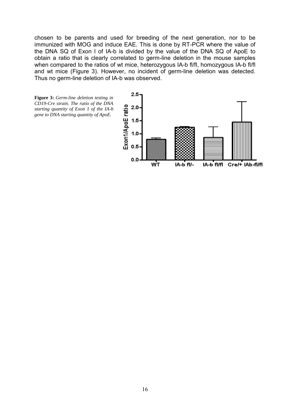chosen to be parents and used for breeding of the next generation, nor to be immunized with MOG and induce EAE. This is done by RT-PCR where the value of the DNA SQ of Exon I of IA-b is divided by the value of the DNA SQ of ApoE to obtain a ratio that is clearly correlated to germ-line deletion in the mouse samples when compared to the ratios of wt mice, heterozygous IA-b fl/fl, homozygous IA-b fl/fl and wt mice (Figure 3). However, no incident of germ-line deletion was detected. Thus no germ-line deletion of IA-b was observed.

<span id="page-15-0"></span>

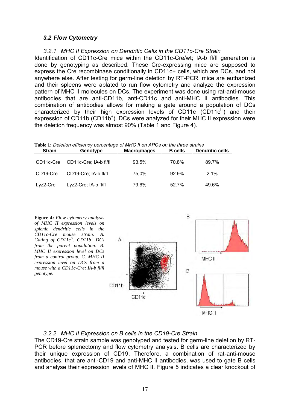## <span id="page-16-0"></span>*3.2 Flow Cytometry*

<span id="page-16-1"></span>*3.2.1 MHC II Expression on Dendritic Cells in the CD11c-Cre Strain*  Identification of CD11c-Cre mice within the CD11c-Cre/wt; IA-b fl/fl generation is done by genotyping as described. These Cre-expressing mice are supposed to express the Cre recombinase conditionally in CD11c+ cells, which are DCs, and not anywhere else. After testing for germ-line deletion by RT-PCR, mice are euthanized and their spleens were ablated to run flow cytometry and analyze the expression pattern of MHC II molecules on DCs. The experiment was done using rat-anti-mouse antibodies that are anti-CD11b, anti-CD11c and anti-MHC II antibodies. This combination of antibodies allows for making a gate around a population of DCs characterized by their high expression levels of CD11c  $(CD11c^{hi})$  and their expression of CD11b (CD11b<sup>+</sup>). DCs were analyzed for their MHC II expression were the deletion frequency was almost 90% (Table 1 and Figure 4).

| Table 1: Deletion efficiency percentage of MHC II on APCs on the three strains |                       |                    |                |                        |
|--------------------------------------------------------------------------------|-----------------------|--------------------|----------------|------------------------|
| <b>Strain</b>                                                                  | Genotype              | <b>Macrophages</b> | <b>B</b> cells | <b>Dendritic cells</b> |
| CD11c-Cre                                                                      | CD11c-Cre; IA-b fl/fl | 93.5%              | 70.8%          | 89.7%                  |
| CD19-Cre                                                                       | CD19-Cre; IA-b fl/fl  | 75.0%              | 92.9%          | $2.1\%$                |
| Lyz2-Cre                                                                       | Lyz2-Cre; IA-b fl/fl  | 79.6%              | 52.7%          | 49.6%                  |

<span id="page-16-3"></span>**Figure 4:** *Flow cytometry analysis of MHC II expression levels on splenic dendritic cells in the CD11c-Cre mouse strain. A. Gating of CD11chi, CD11b<sup>+</sup> DCs from the parent population. B. MHC II expression level on DCs from a control group. C. MHC II expression level on DCs from a mouse with a CD11c-Cre; IA-b fl/fl genotype.* 



## *3.2.2 MHC II Expression on B cells in the CD19-Cre Strain*

<span id="page-16-2"></span>The CD19-Cre strain sample was genotyped and tested for germ-line deletion by RT-PCR before splenectomy and flow cytometry analysis. B cells are characterized by their unique expression of CD19. Therefore, a combination of rat-anti-mouse antibodies, that are anti-CD19 and anti-MHC II antibodies, was used to gate B cells and analyse their expression levels of MHC II. Figure 5 indicates a clear knockout of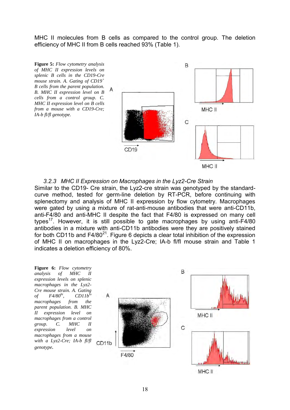MHC II molecules from B cells as compared to the control group. The deletion efficiency of MHC II from B cells reached 93% (Table 1).

<span id="page-17-1"></span>

<span id="page-17-0"></span>*3.2.3 MHC II Expression on Macrophages in the Lyz2-Cre Strain*  Similar to the CD19- Cre strain, the Lyz2-cre strain was genotyped by the standardcurve method, tested for germ-line deletion by RT-PCR, before continuing with splenectomy and analysis of MHC II expression by flow cytometry. Macrophages were gated by using a mixture of rat-anti-mouse antibodies that were anti-CD11b, anti-F4/80 and anti-MHC II despite the fact that F4/80 is expressed on many cell types<sup>[17](#page-26-12)</sup>. However, it is still possible to gate macrophages by using anti- $F4/80$ antibodies in a mixture with anti-CD11b antibodies were they are positively stained for both CD11b and  $F4/80^{21}$  $F4/80^{21}$  $F4/80^{21}$ . Figure 6 depicts a clear total inhibition of the expression of MHC II on macrophages in the Lyz2-Cre; IA-b fl/fl mouse strain and Table 1 indicates a deletion efficiency of 80%.

<span id="page-17-2"></span>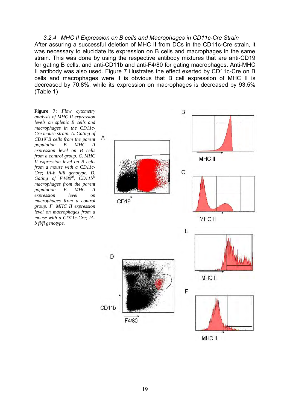<span id="page-18-0"></span>*3.2.4 MHC II Expression on B cells and Macrophages in CD11c-Cre Strain*  After assuring a successful deletion of MHC II from DCs in the CD11c-Cre strain, it was necessary to elucidate its expression on B cells and macrophages in the same strain. This was done by using the respective antibody mixtures that are anti-CD19 for gating B cells, and anti-CD11b and anti-F4/80 for gating macrophages. Anti-MHC II antibody was also used. Figure 7 illustrates the effect exerted by CD11c-Cre on B cells and macrophages were it is obvious that B cell expression of MHC II is decreased by 70.8%, while its expression on macrophages is decreased by 93.5% (Table 1)

<span id="page-18-1"></span>**Figure 7:** *Flow cytometry analysis of MHC II expression levels on splenic B cells and macrophages in the CD11c-Cre mouse strain. A. Gating of CD19<sup>+</sup>B cells from the parent population. B. MHC II expression level on B cells from a control group. C. MHC II expression level on B cells from a mouse with a CD11c-Cre; IA-b fl/fl genotype. D. Gating of F4/80hi, CD11blo macrophages from the parent population. E. MHC II expression level on macrophages from a control group. F. MHC II expression level on macrophages from a mouse with a CD11c-Cre; IAb fl/fl genotype.* 

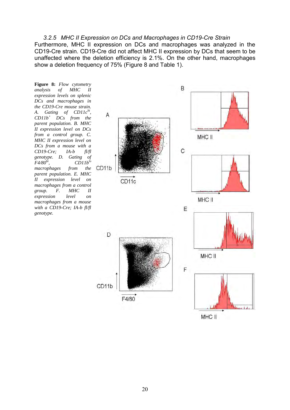#### <span id="page-19-0"></span>*3.2.5 MHC II Expression on DCs and Macrophages in CD19-Cre Strain*

Furthermore, MHC II expression on DCs and macrophages was analyzed in the CD19-Cre strain. CD19-Cre did not affect MHC II expression by DCs that seem to be unaffected where the deletion efficiency is 2.1%. On the other hand, macrophages show a deletion frequency of 75% (Figure 8 and Table 1).

<span id="page-19-1"></span>**Figure 8:** *Flow cytometry analysis of MHC II expression levels on splenic DCs and macrophages in the CD19-Cre mouse strain. A. Gating of CD11chi , CD11b<sup>+</sup> DCs from the parent population. B. MHC II expression level on DCs from a control group. C. MHC II expression level on DCs from a mouse with a CD19-Cre; IA-b fl/fl genotype. D. Gating of F4/80hi, CD11blo macrophages from the parent population. E. MHC II expression level on macrophages from a control group. F. MHC II expression level on macrophages from a mouse with a CD19-Cre; IA-b fl/fl genotype.* 

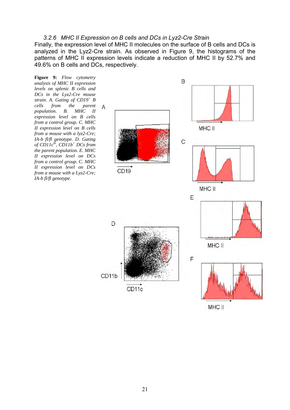#### <span id="page-20-0"></span>*3.2.6 MHC II Expression on B cells and DCs in Lyz2-Cre Strain*

Finally, the expression level of MHC II molecules on the surface of B cells and DCs is analyzed in the Lyz2-Cre strain. As observed in Figure 9, the histograms of the patterns of MHC II expression levels indicate a reduction of MHC II by 52.7% and 49.6% on B cells and DCs, respectively.

<span id="page-20-1"></span>**Figure 9:** *Flow cytometry analysis of MHC II expression levels on splenic B cells and DCs in the Lyz2-Cre mouse strain. A. Gating of CD19<sup>+</sup> B cells from the parent population. B. MHC II expression level on B cells from a control group. C. MHC II expression level on B cells from a mouse with a lyz2-Cre; IA-b fl/fl genotype. D. Gating of CD11chi, CD11b<sup>+</sup> DCs from the parent population. E. MHC II expression level on DCs from a control group. C. MHC II expression level on DCs from a mouse with a Lyz2-Cre; IA-b fl/fl genotype.* 



MHC II

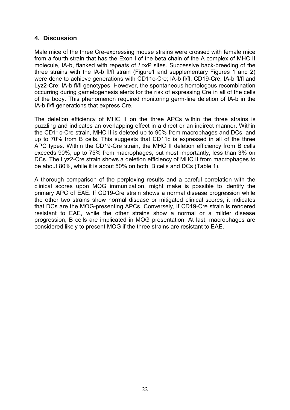## <span id="page-21-0"></span>**4. Discussion**

Male mice of the three Cre-expressing mouse strains were crossed with female mice from a fourth strain that has the Exon I of the beta chain of the A complex of MHC II molecule, IA-b, flanked with repeats of *Lox*P sites. Successive back-breeding of the three strains with the IA-b fl/fl strain (Figure1 and supplementary Figures 1 and 2) were done to achieve generations with CD11c-Cre; IA-b fl/fl, CD19-Cre; IA-b fl/fl and Lyz2-Cre; IA-b fl/fl genotypes. However, the spontaneous homologous recombination occurring during gametogenesis alerts for the risk of expressing Cre in all of the cells of the body. This phenomenon required monitoring germ-line deletion of IA-b in the IA-b fl/fl generations that express Cre.

The deletion efficiency of MHC II on the three APCs within the three strains is puzzling and indicates an overlapping effect in a direct or an indirect manner. Within the CD11c-Cre strain, MHC II is deleted up to 90% from macrophages and DCs, and up to 70% from B cells. This suggests that CD11c is expressed in all of the three APC types. Within the CD19-Cre strain, the MHC II deletion efficiency from B cells exceeds 90%, up to 75% from macrophages, but most importantly, less than 3% on DCs. The Lyz2-Cre strain shows a deletion efficiency of MHC II from macrophages to be about 80%, while it is about 50% on both, B cells and DCs (Table 1).

A thorough comparison of the perplexing results and a careful correlation with the clinical scores upon MOG immunization, might make is possible to identify the primary APC of EAE. If CD19-Cre strain shows a normal disease progression while the other two strains show normal disease or mitigated clinical scores, it indicates that DCs are the MOG-presenting APCs. Conversely, if CD19-Cre strain is rendered resistant to EAE, while the other strains show a normal or a milder disease progression, B cells are implicated in MOG presentation. At last, macrophages are considered likely to present MOG if the three strains are resistant to EAE.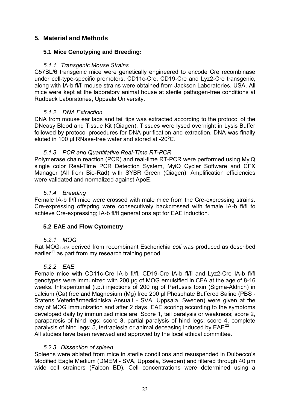## <span id="page-22-0"></span>**5. Material and Methods**

## <span id="page-22-1"></span>**5.1 Mice Genotyping and Breeding:**

## *5.1.1 Transgenic Mouse Strains*

<span id="page-22-2"></span>C57BL/6 transgenic mice were genetically engineered to encode Cre recombinase under cell-type-specific promoters. CD11c-Cre, CD19-Cre and Lyz2-Cre transgenic, along with IA-b fl/fl mouse strains were obtained from Jackson Laboratories, USA. All mice were kept at the laboratory animal house at sterile pathogen-free conditions at Rudbeck Laboratories, Uppsala University.

## <span id="page-22-3"></span>*5.1.2 DNA Extraction*

DNA from mouse ear tags and tail tips was extracted according to the protocol of the DNeasy Blood and Tissue Kit (Qiagen). Tissues were lysed overnight in Lysis Buffer followed by protocol procedures for DNA purification and extraction. DNA was finally eluted in 100 µl RNase-free water and stored at  $-20^{\circ}$ C.

## <span id="page-22-4"></span>*5.1.3 PCR and Quantitative Real-Time RT-PCR*

Polymerase chain reaction (PCR) and real-time RT-PCR were performed using MyiQ single color Real-Time PCR Detection System, MyiQ Cycler Software and CFX Manager (All from Bio-Rad) with SYBR Green (Qiagen). Amplification efficiencies were validated and normalized against ApoE.

## <span id="page-22-5"></span>*5.1.4 Breeding*

Female IA-b fl/fl mice were crossed with male mice from the Cre-expressing strains. Cre-expressing offspring were consecutively backcrossed with female IA-b fl/fl to achieve Cre-expressing; IA-b fl/fl generations apt for EAE induction.

## <span id="page-22-6"></span>**5.2 EAE and Flow Cytometry**

## <span id="page-22-7"></span>*5.2.1 MOG*

Rat MOG1-125 derived from recombinant Escherichia *coli* was produced as described earlier<sup>[41](#page-28-4)</sup> as part from my research training period.

## <span id="page-22-8"></span>*5.2.2 EAE*

Female mice with CD11c-Cre IA-b fl/fl, CD19-Cre IA-b fl/fl and Lyz2-Cre IA-b fl/fl genotypes were immunized with 200 µg of MOG emulsified in CFA at the age of 8-16 weeks. Intraperitonial (i.p.) injections of 200 ng of Pertussis toxin (Sigma-Aldrich) in calcium (Ca) free and Magnesium (Mg) free 200 µl Phosphate Buffered Saline (PBS - Statens Veterinärmediciniska Ansualt - SVA, Uppsala, Sweden) were given at the day of MOG immunization and after 2 days. EAE scoring according to the symptoms developed daily by immunized mice are: Score 1, tail paralysis or weakness; score 2, paraparesis of hind legs; score 3, partial paralysis of hind legs; score 4, complete paralysis of hind legs;  $5$ , tertraplesia or animal deceasing induced by  $EAE^{22}$  $EAE^{22}$  $EAE^{22}$ . All studies have been reviewed and approved by the local ethical committee.

## *5.2.3 Dissection of spleen*

<span id="page-22-9"></span>Spleens were ablated from mice in sterile conditions and resuspended in Dulbecco's Modified Eagle Medium (DMEM - SVA, Uppsala, Sweden) and filtered through 40 µm wide cell strainers (Falcon BD). Cell concentrations were determined using a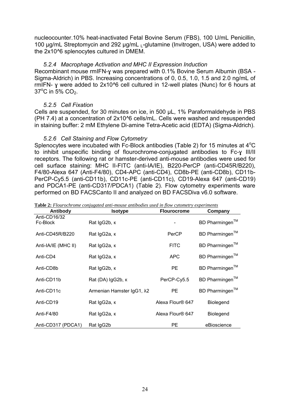nucleocounter.10% heat-inactivated Fetal Bovine Serum (FBS), 100 U/mL Penicillin, 100 µg/mL Streptomycin and 292 µg/mL  $_1$ -glutamine (Invitrogen, USA) were added to the 2x10^6 splenocytes cultured in DMEM.

## *5.2.4 Macrophage Activation and MHC II Expression Induction*

<span id="page-23-0"></span>Recombinant mouse rmIFN-y was prepared with 0.1% Bovine Serum Albumin (BSA -Sigma-Aldrich) in PBS. Increasing concentrations of 0, 0.5, 1.0, 1.5 and 2.0 ng/mL of rmIFN- ɣ were added to 2x10^6 cell cultured in 12-well plates (Nunc) for 6 hours at  $37^{\circ}$ C in 5% CO<sub>2</sub>.

## *5.2.5 Cell Fixation*

<span id="page-23-1"></span>Cells are suspended, for 30 minutes on ice, in 500 µL, 1% Paraformaldehyde in PBS (PH 7.4) at a concentration of 2x10^6 cells/mL. Cells were washed and resuspended in staining buffer: 2 mM Ethylene Di-amine Tetra-Acetic acid (EDTA) (Sigma-Aldrich).

## *5.2.6 Cell Staining and Flow Cytometry*

<span id="page-23-2"></span>Splenocytes were incubated with Fc-Block antibodies (Table 2) for 15 minutes at  $4^{\circ}$ C to inhibit unspecific binding of flourochrome-conjugated antibodies to Fc-ɣ III/II receptors. The following rat or hamster-derived anti-mouse antibodies were used for cell surface staining: MHC II-FITC (anti-IA/IE), B220-PerCP (anti-CD45R/B220), F4/80-Alexa 647 (Anti-F4/80), CD4-APC (anti-CD4), CD8b-PE (anti-CD8b), CD11b-PerCP-Cy5.5 (anti-CD11b), CD11c-PE (anti-CD11c), CD19-Alexa 647 (anti-CD19) and PDCA1-PE (anti-CD317/PDCA1) (Table 2). Flow cytometry experiments ware performed on BD FACSCanto II and analyzed on BD FACSDiva v6.0 software.

| Antibody                 | <b>Isotype</b>            | <b>Flourocrome</b> | Company                    |
|--------------------------|---------------------------|--------------------|----------------------------|
| Anti-CD16/32<br>Fc-Block | Rat IgG2b, K              |                    | BD Pharmingen™             |
| Anti-CD45R/B220          | Rat IgG2a, к              | PerCP              | BD Pharmingen <sup>™</sup> |
| Anti-IA/IE (MHC II)      | Rat IgG2a, к              | <b>FITC</b>        | BD Pharmingen™             |
| Anti-CD4                 | Rat IgG2a, к              | <b>APC</b>         | BD Pharmingen™             |
| Anti-CD8b                | Rat IgG2b, к              | PE                 | BD Pharmingen™             |
| Anti-CD11b               | Rat (DA) IgG2b, к         | PerCP-Cy5.5        | BD Pharmingen <sup>™</sup> |
| Anti-CD11c               | Armenian Hamster IgG1, λ2 | PE.                | BD Pharmingen™             |
| Anti-CD19                | Rat IgG2a, к              | Alexa Flour® 647   | <b>Biolegend</b>           |
| Anti-F4/80               | Rat IgG2a, к              | Alexa Flour® 647   | <b>Biolegend</b>           |
| Anti-CD317 (PDCA1)       | Rat IgG2b                 | PE                 | eBioscience                |

**Table 2:** *Flourochrome conjugated anti-mouse antibodies used in flow cytometry experiments*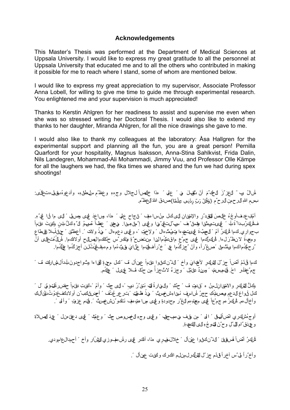#### <span id="page-24-1"></span>**Acknowledgements**

<span id="page-24-0"></span>This Master's Thesis was performed at the Department of Medical Sciences at Uppsala University. I would like to express my great gratitude to all the personnel at Uppsala University that educated me and to all the others who contributed in making it possible for me to reach where I stand, some of whom are mentioned below.

I would like to express my great appreciation to my supervisor, Associate Professor Anna Lobell, for willing to give me time to guide me through experimental research. You enlightened me and your supervision is much appreciated!

Thanks to Kerstin Ahlgren for her readiness to assist and supervise me even when she was so stressed writing her Doctoral Thesis. I would also like to extend my thanks to her daughter, Miranda Ahlgren, for all the nice drawings she gave to me.

I would also like to thank my colleagues at the laboratory: Åsa Hallgren for the experimental support and planning all the fun, you are a great person! Pernilla Quarfordt for your hospitality, Magnus Isaksson, Anna-Stina Sahlkvist, Frida Dalin, Nils Landegren, Mohammad-Ali Mohammadi, Jimmy Vuu, and Professor Olle Kämpe for all the laughers we had, the fika times we shared and the fun we had during spex shootings!

ً عمل ً هذا خالصا وج ً لجال ِل ْ ٌتقب ن َ ل من َ أ الحك ٌم أ ُ سال َ رب ً َ العز ٌز ه ِ ه وعظ ٌم ِ سلطان ِه ى: ، وأدعوهُ بقولِه تعالَ ِ ِ َـبِسْمِ اللهِ للرحمنِ للرحِ ٌمِ {وَقُلْ رَبِّ زِدْنِي عِلْمًا}صدقَ اللهُ للحَظِّم.  $\hat{\mathbf{r}}$  $\hat{\mathbf{r}}$  $\overline{\phantom{a}}$ 

أُمَّلِب عدفٍ أُوجِّهُ خَلَاصَ لَلْتَقِدْ رِ والإنقيانِ لَلَّى كُ منْ سامَفٍ ۚ لِنجاحِ عَلَمٍ ۚ مذا، وساعِدَ فَميمَى وصلى ۗ لِلَّى ما لَنا ۚ فِي ۗ هِ ۚ ِ **∶** ً فَـثَلُوكِرُبداً قَالَ ۚ لِي يَ تَوِيثُوا وَقِيلٌ فِ ۚ سَيُ لِتَّتَلِيٌ مِهَا وَلِهِي إِ ۖ مِلْ مِينَ! ۖ وَيَ عَظِهاً صِّوَى لَ ۚ وَكَلُ بَانٍ وَلَئِينَ ۖ وَإِمْ الْهَ بجواري كµا أنوك∫ أمّ ً الπهبٌّ ةَ لمي يمنـنـيم،ا وتوْمِتٌ وال ً ولإخوَتِ ً، و ليمى دعمِهال ً مهٰذُ ولانت ً. أعط ٌنن ً حفلُولَبالا للهطاع ِ  $\ddot{\phantom{0}}$ ومصةً لانظ راه الله الله الله على جمّ ع ماق متمُّ، السام من تضح تو ولك س حنّ لله عالم الصلح أولاك ما اللهُ مُت ِ ْرحهْءُماكما وبَّتٌ مِل ً صغٌراً، وأنْ "جزڭُما عِي ً خ'راًف\$ما عِنْ[يَ وَيٌنُءُما ومءهلٌغُينُثلنُ أجزكُما خِلَّةُءا.

كما ڤَدَمُ أَض ًا جز ٌلَ للفلهِ لِ لأعجايَ وأخ ً لدْ ُن لهاروا بطءماً عِن أل فَ ۚ لهل م $\tau$ ةٍ للقا ها وشُواجدونَ لمبدأل@ارلة، فَ ً ِ ِ جم ٌعجفُــلر احَ فَينمهسِمنهم ً ورينُ ن علمُل ً وجزءٌ لاثَّ جزأ من حنَّـل قَسلا غِيمَـل ً عِيكَم.

لِكُلُّ لِقَلِّكِرِ والانْقِلْ(إِلِمِنْ ه تَوْفِيَ فَ َ حَمْدٍ ً وللهارةُ لِّك تَـنْ رُ ديبِ ً، لِي جِنّ ً وأمّ ً،النحيتِ نثلماً حضررةًل وَق لِّ لَ كَ **∶** كُل أيواع للدعمِ وصلةُ كِ حجرُ لل1اسِفِ تَبناءِشخِمكِ ۚ فهٰذُ ظُلُوتِ ۚ تِــَار عِر عُتُف ۚ أحجرالِكِعبُّن أولادِكفخذوْتُ للنِّالَكِ ِ وأخال مم شُرك ُن مم جم ٌع! شيء مهندِمِه لنغ ٌر محدودةٍ و شيء مهرا هتومف تَـنكو ٌنشخصتٌ ۚ فَـنم عزوتِ ۗ وأ له ٞ

أوجهُشكِ ري اتِّضاًلهاق ً الف ً مِن وقف فهءهب جل ً و قيمى وجهِ للخصوصِ جنّ ً وعمّة ً فيهى دعج، منل ً عهدَ للصلاةِ وِ عِ ذَقٌ ٰامِ اللهُ ؕلِ وح ٌنَ التوجُ هِ الى الكع، قِ

أُلُّكِنُ أَصْنَاً لَهُنْ قِطْ ۚ لَاذْ ُنْ كَانُوا عِهْنَالٌ ۚ خِلالَ،فَيْبِرِي مذا، أَلْمَـٰدْر فِي رَلْس مفوزي للثقْلَار وأخ ۚ أحمدال£امودي. ِ

وَأخٌ رأ لِي ٌس أخرٍ أَ قيدّم جز ٌل للفلُّ لِلمِنلِم الْكَرك ولئنيت عِنْ أَل ۚ .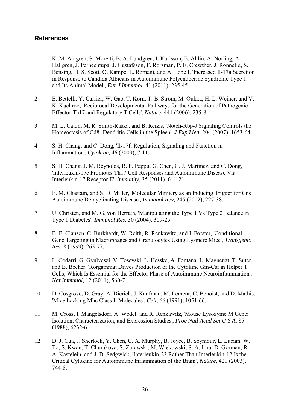## **References**

- <span id="page-25-2"></span>1 K. M. Ahlgren, S. Moretti, B. A. Lundgren, I. Karlsson, E. Ahlin, A. Norling, A. Hallgren, J. Perheentupa, J. Gustafsson, F. Rorsman, P. E. Crewther, J. Ronnelid, S. Bensing, H. S. Scott, O. Kampe, L. Romani, and A. Lobell, 'Increased Il-17a Secretion in Response to Candida Albicans in Autoimmune Polyendocrine Syndrome Type 1 and Its Animal Model', *Eur J Immunol,* 41 (2011), 235-45.
- <span id="page-25-6"></span>2 E. Bettelli, Y. Carrier, W. Gao, T. Korn, T. B. Strom, M. Oukka, H. L. Weiner, and V. K. Kuchroo, 'Reciprocal Developmental Pathways for the Generation of Pathogenic Effector Th17 and Regulatory T Cells', *Nature,* 441 (2006), 235-8.
- <span id="page-25-9"></span>3 M. L. Caton, M. R. Smith-Raska, and B. Reizis, 'Notch-Rbp-J Signaling Controls the Homeostasis of Cd8- Dendritic Cells in the Spleen', *J Exp Med,* 204 (2007), 1653-64.
- <span id="page-25-0"></span>4 S. H. Chang, and C. Dong, 'Il-17f: Regulation, Signaling and Function in Inflammation', *Cytokine,* 46 (2009), 7-11.
- <span id="page-25-1"></span>5 S. H. Chang, J. M. Reynolds, B. P. Pappu, G. Chen, G. J. Martinez, and C. Dong, 'Interleukin-17c Promotes Th17 Cell Responses and Autoimmune Disease Via Interleukin-17 Receptor E', *Immunity,* 35 (2011), 611-21.
- <span id="page-25-4"></span>6 E. M. Chastain, and S. D. Miller, 'Molecular Mimicry as an Inducing Trigger for Cns Autoimmune Demyelinating Disease', *Immunol Rev,* 245 (2012), 227-38.
- <span id="page-25-3"></span>7 U. Christen, and M. G. von Herrath, 'Manipulating the Type 1 Vs Type 2 Balance in Type 1 Diabetes', *Immunol Res,* 30 (2004), 309-25.
- <span id="page-25-11"></span>8 B. E. Clausen, C. Burkhardt, W. Reith, R. Renkawitz, and I. Forster, 'Conditional Gene Targeting in Macrophages and Granulocytes Using Lysmcre Mice', *Transgenic Res,* 8 (1999), 265-77.
- <span id="page-25-7"></span>9 L. Codarri, G. Gyulveszi, V. Tosevski, L. Hesske, A. Fontana, L. Magnenat, T. Suter, and B. Becher, 'Rorgammat Drives Production of the Cytokine Gm-Csf in Helper T Cells, Which Is Essential for the Effector Phase of Autoimmune Neuroinflammation', *Nat Immunol,* 12 (2011), 560-7.
- <span id="page-25-8"></span>10 D. Cosgrove, D. Gray, A. Dierich, J. Kaufman, M. Lemeur, C. Benoist, and D. Mathis, 'Mice Lacking Mhc Class Ii Molecules', *Cell,* 66 (1991), 1051-66.
- <span id="page-25-10"></span>11 M. Cross, I. Mangelsdorf, A. Wedel, and R. Renkawitz, 'Mouse Lysozyme M Gene: Isolation, Characterization, and Expression Studies', *Proc Natl Acad Sci U S A,* 85 (1988), 6232-6.
- <span id="page-25-5"></span>12 D. J. Cua, J. Sherlock, Y. Chen, C. A. Murphy, B. Joyce, B. Seymour, L. Lucian, W. To, S. Kwan, T. Churakova, S. Zurawski, M. Wiekowski, S. A. Lira, D. Gorman, R. A. Kastelein, and J. D. Sedgwick, 'Interleukin-23 Rather Than Interleukin-12 Is the Critical Cytokine for Autoimmune Inflammation of the Brain', *Nature,* 421 (2003), 744-8.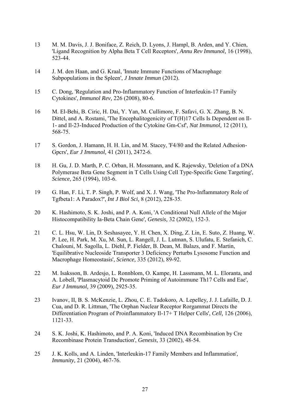- <span id="page-26-1"></span>13 M. M. Davis, J. J. Boniface, Z. Reich, D. Lyons, J. Hampl, B. Arden, and Y. Chien, 'Ligand Recognition by Alpha Beta T Cell Receptors', *Annu Rev Immunol,* 16 (1998), 523-44.
- <span id="page-26-0"></span>14 J. M. den Haan, and G. Kraal, 'Innate Immune Functions of Macrophage Subpopulations in the Spleen', *J Innate Immun* (2012).
- <span id="page-26-2"></span>15 C. Dong, 'Regulation and Pro-Inflammatory Function of Interleukin-17 Family Cytokines', *Immunol Rev,* 226 (2008), 80-6.
- <span id="page-26-7"></span>16 M. El-Behi, B. Ciric, H. Dai, Y. Yan, M. Cullimore, F. Safavi, G. X. Zhang, B. N. Dittel, and A. Rostami, 'The Encephalitogenicity of T(H)17 Cells Is Dependent on Il-1- and Il-23-Induced Production of the Cytokine Gm-Csf', *Nat Immunol,* 12 (2011), 568-75.
- <span id="page-26-12"></span>17 S. Gordon, J. Hamann, H. H. Lin, and M. Stacey, 'F4/80 and the Related Adhesion-Gpcrs', *Eur J Immunol,* 41 (2011), 2472-6.
- <span id="page-26-8"></span>18 H. Gu, J. D. Marth, P. C. Orban, H. Mossmann, and K. Rajewsky, 'Deletion of a DNA Polymerase Beta Gene Segment in T Cells Using Cell Type-Specific Gene Targeting', *Science,* 265 (1994), 103-6.
- <span id="page-26-5"></span>19 G. Han, F. Li, T. P. Singh, P. Wolf, and X. J. Wang, 'The Pro-Inflammatory Role of Tgfbeta1: A Paradox?', *Int J Biol Sci,* 8 (2012), 228-35.
- <span id="page-26-9"></span>20 K. Hashimoto, S. K. Joshi, and P. A. Koni, 'A Conditional Null Allele of the Major Histocompatibility Ia-Beta Chain Gene', *Genesis,* 32 (2002), 152-3.
- <span id="page-26-13"></span>21 C. L. Hsu, W. Lin, D. Seshasayee, Y. H. Chen, X. Ding, Z. Lin, E. Suto, Z. Huang, W. P. Lee, H. Park, M. Xu, M. Sun, L. Rangell, J. L. Lutman, S. Ulufatu, E. Stefanich, C. Chalouni, M. Sagolla, L. Diehl, P. Fielder, B. Dean, M. Balazs, and F. Martin, 'Equilibrative Nucleoside Transporter 3 Deficiency Perturbs Lysosome Function and Macrophage Homeostasis', *Science,* 335 (2012), 89-92.
- <span id="page-26-11"></span>22 M. Isaksson, B. Ardesjo, L. Ronnblom, O. Kampe, H. Lassmann, M. L. Eloranta, and A. Lobell, 'Plasmacytoid Dc Promote Priming of Autoimmune Th17 Cells and Eae', *Eur J Immunol,* 39 (2009), 2925-35.
- <span id="page-26-6"></span>23 Ivanov, II, B. S. McKenzie, L. Zhou, C. E. Tadokoro, A. Lepelley, J. J. Lafaille, D. J. Cua, and D. R. Littman, 'The Orphan Nuclear Receptor Rorgammat Directs the Differentiation Program of Proinflammatory Il-17+ T Helper Cells', *Cell,* 126 (2006), 1121-33.
- <span id="page-26-10"></span>24 S. K. Joshi, K. Hashimoto, and P. A. Koni, 'Induced DNA Recombination by Cre Recombinase Protein Transduction', *Genesis,* 33 (2002), 48-54.
- <span id="page-26-4"></span><span id="page-26-3"></span>25 J. K. Kolls, and A. Linden, 'Interleukin-17 Family Members and Inflammation', *Immunity,* 21 (2004), 467-76.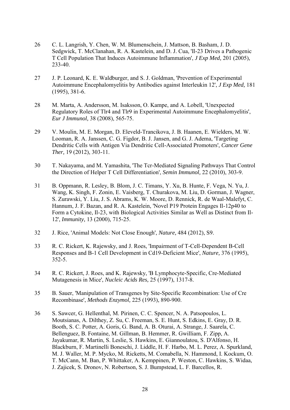- 26 C. L. Langrish, Y. Chen, W. M. Blumenschein, J. Mattson, B. Basham, J. D. Sedgwick, T. McClanahan, R. A. Kastelein, and D. J. Cua, 'Il-23 Drives a Pathogenic T Cell Population That Induces Autoimmune Inflammation', *J Exp Med,* 201 (2005), 233-40.
- <span id="page-27-3"></span>27 J. P. Leonard, K. E. Waldburger, and S. J. Goldman, 'Prevention of Experimental Autoimmune Encephalomyelitis by Antibodies against Interleukin 12', *J Exp Med,* 181 (1995), 381-6.
- <span id="page-27-1"></span>28 M. Marta, A. Andersson, M. Isaksson, O. Kampe, and A. Lobell, 'Unexpected Regulatory Roles of Tlr4 and Tlr9 in Experimental Autoimmune Encephalomyelitis', *Eur J Immunol,* 38 (2008), 565-75.
- <span id="page-27-6"></span>29 V. Moulin, M. E. Morgan, D. Eleveld-Trancikova, J. B. Haanen, E. Wielders, M. W. Looman, R. A. Janssen, C. G. Figdor, B. J. Jansen, and G. J. Adema, 'Targeting Dendritic Cells with Antigen Via Dendritic Cell-Associated Promoters', *Cancer Gene Ther,* 19 (2012), 303-11.
- <span id="page-27-0"></span>30 T. Nakayama, and M. Yamashita, 'The Tcr-Mediated Signaling Pathways That Control the Direction of Helper T Cell Differentiation', *Semin Immunol,* 22 (2010), 303-9.
- <span id="page-27-4"></span>31 B. Oppmann, R. Lesley, B. Blom, J. C. Timans, Y. Xu, B. Hunte, F. Vega, N. Yu, J. Wang, K. Singh, F. Zonin, E. Vaisberg, T. Churakova, M. Liu, D. Gorman, J. Wagner, S. Zurawski, Y. Liu, J. S. Abrams, K. W. Moore, D. Rennick, R. de Waal-Malefyt, C. Hannum, J. F. Bazan, and R. A. Kastelein, 'Novel P19 Protein Engages Il-12p40 to Form a Cytokine, Il-23, with Biological Activities Similar as Well as Distinct from Il-12', *Immunity,* 13 (2000), 715-25.
- <span id="page-27-9"></span><span id="page-27-7"></span>32 J. Rice, 'Animal Models: Not Close Enough', *Nature,* 484 (2012), S9.
- 33 R. C. Rickert, K. Rajewsky, and J. Roes, 'Impairment of T-Cell-Dependent B-Cell Responses and B-1 Cell Development in Cd19-Deficient Mice', *Nature,* 376 (1995), 352-5.
- <span id="page-27-8"></span>34 R. C. Rickert, J. Roes, and K. Rajewsky, 'B Lymphocyte-Specific, Cre-Mediated Mutagenesis in Mice', *Nucleic Acids Res,* 25 (1997), 1317-8.
- <span id="page-27-5"></span>35 B. Sauer, 'Manipulation of Transgenes by Site-Specific Recombination: Use of Cre Recombinase', *Methods Enzymol,* 225 (1993), 890-900.
- <span id="page-27-2"></span>36 S. Sawcer, G. Hellenthal, M. Pirinen, C. C. Spencer, N. A. Patsopoulos, L. Moutsianas, A. Dilthey, Z. Su, C. Freeman, S. E. Hunt, S. Edkins, E. Gray, D. R. Booth, S. C. Potter, A. Goris, G. Band, A. B. Oturai, A. Strange, J. Saarela, C. Bellenguez, B. Fontaine, M. Gillman, B. Hemmer, R. Gwilliam, F. Zipp, A. Jayakumar, R. Martin, S. Leslie, S. Hawkins, E. Giannoulatou, S. D'Alfonso, H. Blackburn, F. Martinelli Boneschi, J. Liddle, H. F. Harbo, M. L. Perez, A. Spurkland, M. J. Waller, M. P. Mycko, M. Ricketts, M. Comabella, N. Hammond, I. Kockum, O. T. McCann, M. Ban, P. Whittaker, A. Kemppinen, P. Weston, C. Hawkins, S. Widaa, J. Zajicek, S. Dronov, N. Robertson, S. J. Bumpstead, L. F. Barcellos, R.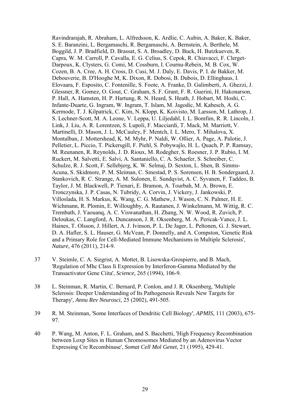Ravindrarajah, R. Abraham, L. Alfredsson, K. Ardlie, C. Aubin, A. Baker, K. Baker, S. E. Baranzini, L. Bergamaschi, R. Bergamaschi, A. Bernstein, A. Berthele, M. Boggild, J. P. Bradfield, D. Brassat, S. A. Broadley, D. Buck, H. Butzkueven, R. Capra, W. M. Carroll, P. Cavalla, E. G. Celius, S. Cepok, R. Chiavacci, F. Clerget-Darpoux, K. Clysters, G. Comi, M. Cossburn, I. Cournu-Rebeix, M. B. Cox, W. Cozen, B. A. Cree, A. H. Cross, D. Cusi, M. J. Daly, E. Davis, P. I. de Bakker, M. Debouverie, B. D'Hooghe M, K. Dixon, R. Dobosi, B. Dubois, D. Ellinghaus, I. Elovaara, F. Esposito, C. Fontenille, S. Foote, A. Franke, D. Galimberti, A. Ghezzi, J. Glessner, R. Gomez, O. Gout, C. Graham, S. F. Grant, F. R. Guerini, H. Hakonarson, P. Hall, A. Hamsten, H. P. Hartung, R. N. Heard, S. Heath, J. Hobart, M. Hoshi, C. Infante-Duarte, G. Ingram, W. Ingram, T. Islam, M. Jagodic, M. Kabesch, A. G. Kermode, T. J. Kilpatrick, C. Kim, N. Klopp, K. Koivisto, M. Larsson, M. Lathrop, J. S. Lechner-Scott, M. A. Leone, V. Leppa, U. Liljedahl, I. L. Bomfim, R. R. Lincoln, J. Link, J. Liu, A. R. Lorentzen, S. Lupoli, F. Macciardi, T. Mack, M. Marriott, V. Martinelli, D. Mason, J. L. McCauley, F. Mentch, I. L. Mero, T. Mihalova, X. Montalban, J. Mottershead, K. M. Myhr, P. Naldi, W. Ollier, A. Page, A. Palotie, J. Pelletier, L. Piccio, T. Pickersgill, F. Piehl, S. Pobywajlo, H. L. Quach, P. P. Ramsay, M. Reunanen, R. Reynolds, J. D. Rioux, M. Rodegher, S. Roesner, J. P. Rubio, I. M. Ruckert, M. Salvetti, E. Salvi, A. Santaniello, C. A. Schaefer, S. Schreiber, C. Schulze, R. J. Scott, F. Sellebjerg, K. W. Selmaj, D. Sexton, L. Shen, B. Simms-Acuna, S. Skidmore, P. M. Sleiman, C. Smestad, P. S. Sorensen, H. B. Sondergaard, J. Stankovich, R. C. Strange, A. M. Sulonen, E. Sundqvist, A. C. Syvanen, F. Taddeo, B. Taylor, J. M. Blackwell, P. Tienari, E. Bramon, A. Tourbah, M. A. Brown, E. Tronczynska, J. P. Casas, N. Tubridy, A. Corvin, J. Vickery, J. Jankowski, P. Villoslada, H. S. Markus, K. Wang, C. G. Mathew, J. Wason, C. N. Palmer, H. E. Wichmann, R. Plomin, E. Willoughby, A. Rautanen, J. Winkelmann, M. Wittig, R. C. Trembath, J. Yaouanq, A. C. Viswanathan, H. Zhang, N. W. Wood, R. Zuvich, P. Deloukas, C. Langford, A. Duncanson, J. R. Oksenberg, M. A. Pericak-Vance, J. L. Haines, T. Olsson, J. Hillert, A. J. Ivinson, P. L. De Jager, L. Peltonen, G. J. Stewart, D. A. Hafler, S. L. Hauser, G. McVean, P. Donnelly, and A. Compston, 'Genetic Risk and a Primary Role for Cell-Mediated Immune Mechanisms in Multiple Sclerosis', *Nature,* 476 (2011), 214-9.

- <span id="page-28-2"></span>37 V. Steimle, C. A. Siegrist, A. Mottet, B. Lisowska-Grospierre, and B. Mach, 'Regulation of Mhc Class Ii Expression by Interferon-Gamma Mediated by the Transactivator Gene Ciita', *Science,* 265 (1994), 106-9.
- <span id="page-28-1"></span>38 L. Steinman, R. Martin, C. Bernard, P. Conlon, and J. R. Oksenberg, 'Multiple Sclerosis: Deeper Understanding of Its Pathogenesis Reveals New Targets for Therapy', *Annu Rev Neurosci,* 25 (2002), 491-505.
- <span id="page-28-0"></span>39 R. M. Steinman, 'Some Interfaces of Dendritic Cell Biology', *APMIS,* 111 (2003), 675- 97.
- <span id="page-28-4"></span><span id="page-28-3"></span>40 P. Wang, M. Anton, F. L. Graham, and S. Bacchetti, 'High Frequency Recombination between Loxp Sites in Human Chromosomes Mediated by an Adenovirus Vector Expressing Cre Recombinase', *Somat Cell Mol Genet,* 21 (1995), 429-41.